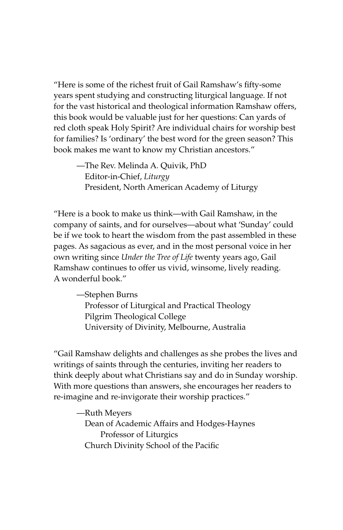"Here is some of the richest fruit of Gail Ramshaw's fifty-some years spent studying and constructing liturgical language. If not for the vast historical and theological information Ramshaw offers, this book would be valuable just for her questions: Can yards of red cloth speak Holy Spirit? Are individual chairs for worship best for families? Is 'ordinary' the best word for the green season? This book makes me want to know my Christian ancestors."

—The Rev. Melinda A. Quivik, PhD Editor-in-Chief, *Liturgy* President, North American Academy of Liturgy

"Here is a book to make us think—with Gail Ramshaw, in the company of saints, and for ourselves—about what 'Sunday' could be if we took to heart the wisdom from the past assembled in these pages. As sagacious as ever, and in the most personal voice in her own writing since *Under the Tree of Life* twenty years ago, Gail Ramshaw continues to offer us vivid, winsome, lively reading. A wonderful book."

—Stephen Burns Professor of Liturgical and Practical Theology Pilgrim Theological College University of Divinity, Melbourne, Australia

"Gail Ramshaw delights and challenges as she probes the lives and writings of saints through the centuries, inviting her readers to think deeply about what Christians say and do in Sunday worship. With more questions than answers, she encourages her readers to re-imagine and re-invigorate their worship practices."

—Ruth Meyers Dean of Academic Affairs and Hodges-Haynes Professor of Liturgics Church Divinity School of the Pacific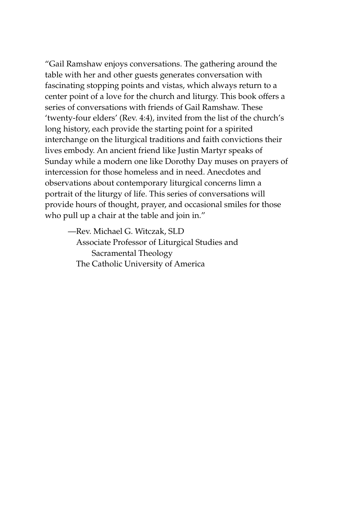"Gail Ramshaw enjoys conversations. The gathering around the table with her and other guests generates conversation with fascinating stopping points and vistas, which always return to a center point of a love for the church and liturgy. This book offers a series of conversations with friends of Gail Ramshaw. These 'twenty-four elders' (Rev. 4:4), invited from the list of the church's long history, each provide the starting point for a spirited interchange on the liturgical traditions and faith convictions their lives embody. An ancient friend like Justin Martyr speaks of Sunday while a modern one like Dorothy Day muses on prayers of intercession for those homeless and in need. Anecdotes and observations about contemporary liturgical concerns limn a portrait of the liturgy of life. This series of conversations will provide hours of thought, prayer, and occasional smiles for those who pull up a chair at the table and join in."

—Rev. Michael G. Witczak, SLD Associate Professor of Liturgical Studies and Sacramental Theology The Catholic University of America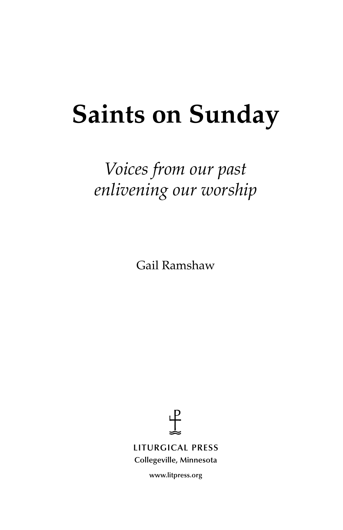# **Saints on Sunday**

# *Voices from our past enlivening our worship*

Gail Ramshaw



**LITURGICAL PRESS Collegeville, Minnesota**

**www.litpress.org**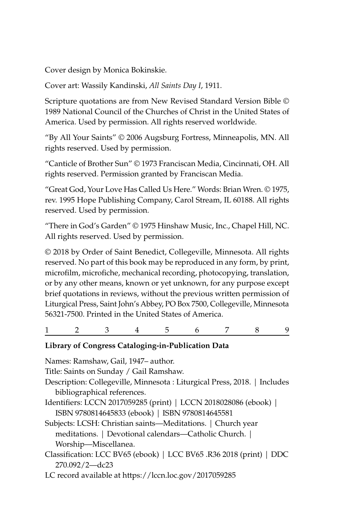Cover design by Monica Bokinskie.

Cover art: Wassily Kandinski, *All Saints Day I*, 1911.

Scripture quotations are from New Revised Standard Version Bible © 1989 National Council of the Churches of Christ in the United States of America. Used by permission. All rights reserved worldwide.

"By All Your Saints" © 2006 Augsburg Fortress, Minneapolis, MN. All rights reserved. Used by permission.

"Canticle of Brother Sun" © 1973 Franciscan Media, Cincinnati, OH. All rights reserved. Permission granted by Franciscan Media.

"Great God, Your Love Has Called Us Here." Words: Brian Wren. © 1975, rev. 1995 Hope Publishing Company, Carol Stream, IL 60188. All rights reserved. Used by permission.

"There in God's Garden" © 1975 Hinshaw Music, Inc., Chapel Hill, NC. All rights reserved. Used by permission.

© 2018 by Order of Saint Benedict, Collegeville, Minnesota. All rights reserved. No part of this book may be reproduced in any form, by print, microfilm, microfiche, mechanical recording, photocopying, translation, or by any other means, known or yet unknown, for any purpose except brief quotations in reviews, without the previous written permission of Liturgical Press, Saint John's Abbey, PO Box 7500, Collegeville, Minnesota 56321-7500. Printed in the United States of America.

#### 123456789

#### **Library of Congress Cataloging-in-Publication Data**

Names: Ramshaw, Gail, 1947– author.

Title: Saints on Sunday / Gail Ramshaw.

Description: Collegeville, Minnesota : Liturgical Press, 2018. | Includes bibliographical references.

Identifiers: LCCN 2017059285 (print) | LCCN 2018028086 (ebook) | ISBN 9780814645833 (ebook) | ISBN 9780814645581

Subjects: LCSH: Christian saints—Meditations. | Church year meditations. | Devotional calendars—Catholic Church. | Worship—Miscellanea.

Classification: LCC BV65 (ebook) | LCC BV65 .R36 2018 (print) | DDC 270.092/2—dc23

LC record available at https://lccn.loc.gov/2017059285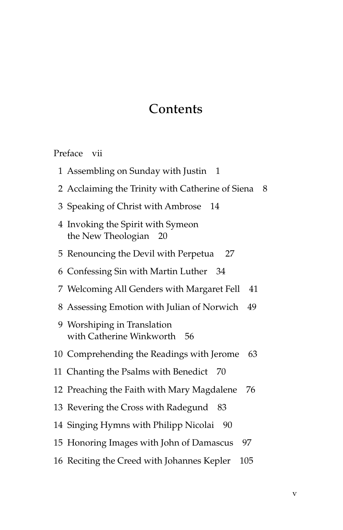#### Contents

Preface vii

- Assembling on Sunday with Justin 1
- 2 Acclaiming the Trinity with Catherine of Siena 8
- Speaking of Christ with Ambrose 14
- 4 Invoking the Spirit with Symeon the New Theologian 20
- Renouncing the Devil with Perpetua 27
- Confessing Sin with Martin Luther 34
- Welcoming All Genders with Margaret Fell 41
- Assessing Emotion with Julian of Norwich 49
- 9 Worshiping in Translation with Catherine Winkworth 56
- Comprehending the Readings with Jerome 63
- Chanting the Psalms with Benedict 70
- Preaching the Faith with Mary Magdalene 76
- Revering the Cross with Radegund 83
- Singing Hymns with Philipp Nicolai 90
- Honoring Images with John of Damascus 97
- Reciting the Creed with Johannes Kepler 105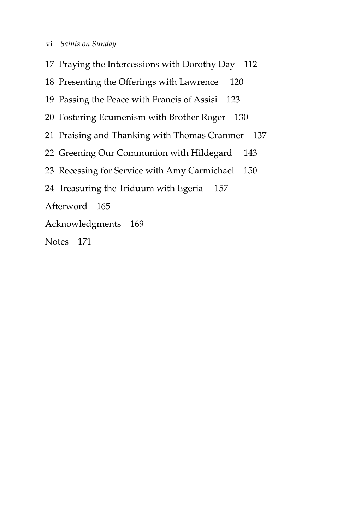- vi *Saints on Sunday*
- 17 Praying the Intercessions with Dorothy Day 112
- 18 Presenting the Offerings with Lawrence 120
- 19 Passing the Peace with Francis of Assisi 123
- 20 Fostering Ecumenism with Brother Roger 130
- 21 Praising and Thanking with Thomas Cranmer 137
- 22 Greening Our Communion with Hildegard 143
- 23 Recessing for Service with Amy Carmichael 150
- 24 Treasuring the Triduum with Egeria 157
- Afterword 165
- Acknowledgments 169
- Notes 171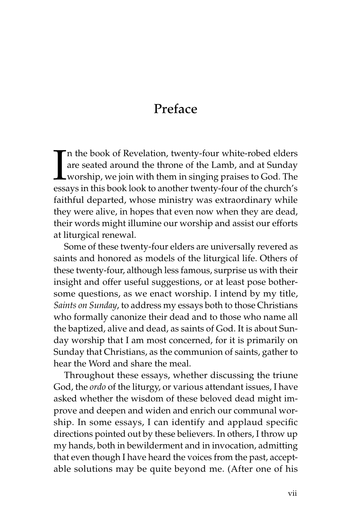## Preface

In the book of Revelation, twenty-four white-robed elders are seated around the throne of the Lamb, and at Sunday worship, we join with them in singing praises to God. The essays in this book look to another twenty-four of n the book of Revelation, twenty-four white-robed elders are seated around the throne of the Lamb, and at Sunday worship, we join with them in singing praises to God. The faithful departed, whose ministry was extraordinary while they were alive, in hopes that even now when they are dead, their words might illumine our worship and assist our efforts at liturgical renewal.

Some of these twenty-four elders are universally revered as saints and honored as models of the liturgical life. Others of these twenty-four, although less famous, surprise us with their insight and offer useful suggestions, or at least pose bothersome questions, as we enact worship. I intend by my title, *Saints on Sunday*, to address my essays both to those Christians who formally canonize their dead and to those who name all the baptized, alive and dead, as saints of God. It is about Sunday worship that I am most concerned, for it is primarily on Sunday that Christians, as the communion of saints, gather to hear the Word and share the meal.

Throughout these essays, whether discussing the triune God, the *ordo* of the liturgy, or various attendant issues, I have asked whether the wisdom of these beloved dead might improve and deepen and widen and enrich our communal worship. In some essays, I can identify and applaud specific directions pointed out by these believers. In others, I throw up my hands, both in bewilderment and in invocation, admitting that even though I have heard the voices from the past, acceptable solutions may be quite beyond me. (After one of his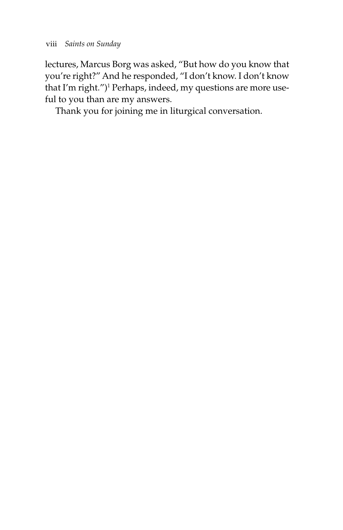lectures, Marcus Borg was asked, "But how do you know that you're right?" And he responded, "I don't know. I don't know that I'm right.")<sup>1</sup> Perhaps, indeed, my questions are more useful to you than are my answers.

Thank you for joining me in liturgical conversation.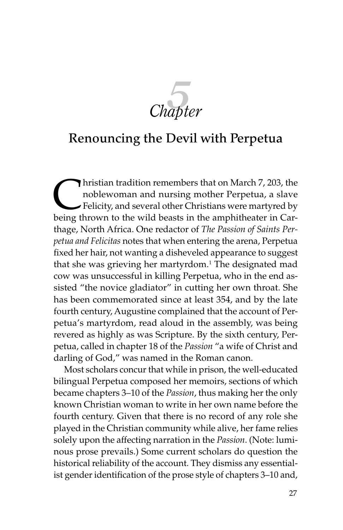$Chapter$ 

#### Renouncing the Devil with Perpetua

Inistian tradition remembers that on March 7, 203, the<br>noblewoman and nursing mother Perpetua, a slave<br>Felicity, and several other Christians were martyred by<br>heing thrown to the wild beasts in the amphitheater in Carnoblewoman and nursing mother Perpetua, a slave Felicity, and several other Christians were martyred by being thrown to the wild beasts in the amphitheater in Carthage, North Africa. One redactor of *The Passion of Saints Perpetua and Felicitas* notes that when entering the arena, Perpetua fixed her hair, not wanting a disheveled appearance to suggest that she was grieving her martyrdom.<sup>1</sup> The designated mad cow was unsuccessful in killing Perpetua, who in the end assisted "the novice gladiator" in cutting her own throat. She has been commemorated since at least 354, and by the late fourth century, Augustine complained that the account of Perpetua's martyrdom, read aloud in the assembly, was being revered as highly as was Scripture. By the sixth century, Perpetua, called in chapter 18 of the *Passion* "a wife of Christ and darling of God," was named in the Roman canon.

Most scholars concur that while in prison, the well-educated bilingual Perpetua composed her memoirs, sections of which became chapters 3–10 of the *Passion*, thus making her the only known Christian woman to write in her own name before the fourth century. Given that there is no record of any role she played in the Christian community while alive, her fame relies solely upon the affecting narration in the *Passion*. (Note: luminous prose prevails.) Some current scholars do question the historical reliability of the account. They dismiss any essentialist gender identification of the prose style of chapters 3–10 and,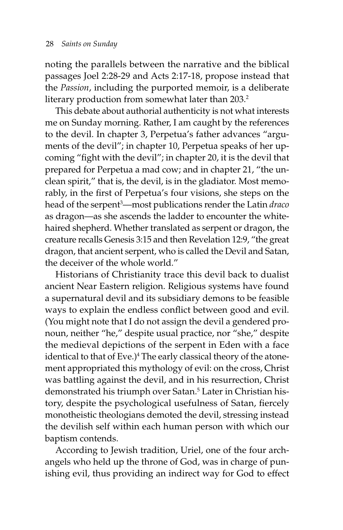noting the parallels between the narrative and the biblical passages Joel 2:28-29 and Acts 2:17-18, propose instead that the *Passion*, including the purported memoir, is a deliberate literary production from somewhat later than 203.<sup>2</sup>

This debate about authorial authenticity is not what interests me on Sunday morning. Rather, I am caught by the references to the devil. In chapter 3, Perpetua's father advances "arguments of the devil"; in chapter 10, Perpetua speaks of her upcoming "fight with the devil"; in chapter 20, it is the devil that prepared for Perpetua a mad cow; and in chapter 21, "the unclean spirit," that is, the devil, is in the gladiator. Most memorably, in the first of Perpetua's four visions, she steps on the head of the serpent3 —most publications render the Latin *draco* as dragon—as she ascends the ladder to encounter the whitehaired shepherd. Whether translated as serpent or dragon, the creature recalls Genesis 3:15 and then Revelation 12:9, "the great dragon, that ancient serpent, who is called the Devil and Satan, the deceiver of the whole world."

Historians of Christianity trace this devil back to dualist ancient Near Eastern religion. Religious systems have found a supernatural devil and its subsidiary demons to be feasible ways to explain the endless conflict between good and evil. (You might note that I do not assign the devil a gendered pronoun, neither "he," despite usual practice, nor "she," despite the medieval depictions of the serpent in Eden with a face identical to that of Eve.)<sup>4</sup> The early classical theory of the atonement appropriated this mythology of evil: on the cross, Christ was battling against the devil, and in his resurrection, Christ demonstrated his triumph over Satan.<sup>5</sup> Later in Christian history, despite the psychological usefulness of Satan, fiercely monotheistic theologians demoted the devil, stressing instead the devilish self within each human person with which our baptism contends.

According to Jewish tradition, Uriel, one of the four archangels who held up the throne of God, was in charge of punishing evil, thus providing an indirect way for God to effect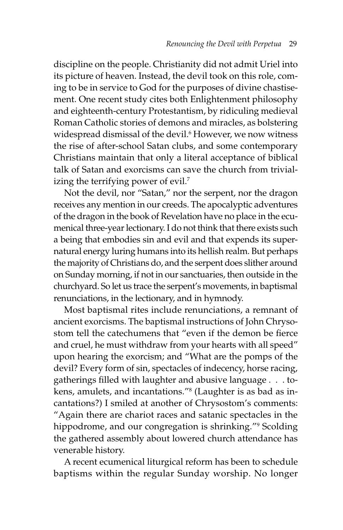discipline on the people. Christianity did not admit Uriel into its picture of heaven. Instead, the devil took on this role, coming to be in service to God for the purposes of divine chastisement. One recent study cites both Enlightenment philosophy and eighteenth-century Protestantism, by ridiculing medieval Roman Catholic stories of demons and miracles, as bolstering widespread dismissal of the devil.6 However, we now witness the rise of after-school Satan clubs, and some contemporary Christians maintain that only a literal acceptance of biblical talk of Satan and exorcisms can save the church from trivializing the terrifying power of evil.<sup>7</sup>

Not the devil, nor "Satan," nor the serpent, nor the dragon receives any mention in our creeds. The apocalyptic adventures of the dragon in the book of Revelation have no place in the ecumenical three-year lectionary. I do not think that there exists such a being that embodies sin and evil and that expends its supernatural energy luring humans into its hellish realm. But perhaps the majority of Christians do, and the serpent does slither around on Sunday morning, if not in our sanctuaries, then outside in the churchyard. So let us trace the serpent's movements, in baptismal renunciations, in the lectionary, and in hymnody.

Most baptismal rites include renunciations, a remnant of ancient exorcisms. The baptismal instructions of John Chrysostom tell the catechumens that "even if the demon be fierce and cruel, he must withdraw from your hearts with all speed" upon hearing the exorcism; and "What are the pomps of the devil? Every form of sin, spectacles of indecency, horse racing, gatherings filled with laughter and abusive language . . . tokens, amulets, and incantations."8 (Laughter is as bad as incantations?) I smiled at another of Chrysostom's comments: "Again there are chariot races and satanic spectacles in the hippodrome, and our congregation is shrinking."<sup>9</sup> Scolding the gathered assembly about lowered church attendance has venerable history.

A recent ecumenical liturgical reform has been to schedule baptisms within the regular Sunday worship. No longer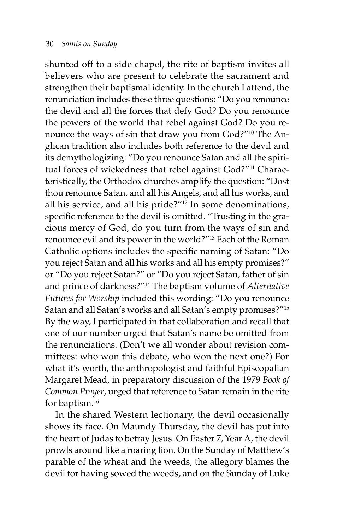shunted off to a side chapel, the rite of baptism invites all believers who are present to celebrate the sacrament and strengthen their baptismal identity. In the church I attend, the renunciation includes these three questions: "Do you renounce the devil and all the forces that defy God? Do you renounce the powers of the world that rebel against God? Do you renounce the ways of sin that draw you from God?"10 The Anglican tradition also includes both reference to the devil and its demythologizing: "Do you renounce Satan and all the spiritual forces of wickedness that rebel against God?"<sup>11</sup> Characteristically, the Orthodox churches amplify the question: "Dost thou renounce Satan, and all his Angels, and all his works, and all his service, and all his pride?"12 In some denominations, specific reference to the devil is omitted. "Trusting in the gracious mercy of God, do you turn from the ways of sin and renounce evil and its power in the world?"13 Each of the Roman Catholic options includes the specific naming of Satan: "Do you reject Satan and all his works and all his empty promises?" or "Do you reject Satan?" or "Do you reject Satan, father of sin and prince of darkness?"14 The baptism volume of *Alternative Futures for Worship* included this wording: "Do you renounce Satan and all Satan's works and all Satan's empty promises?"15 By the way, I participated in that collaboration and recall that one of our number urged that Satan's name be omitted from the renunciations. (Don't we all wonder about revision committees: who won this debate, who won the next one?) For what it's worth, the anthropologist and faithful Episcopalian Margaret Mead, in preparatory discussion of the 1979 *Book of Common Prayer*, urged that reference to Satan remain in the rite for baptism.16

In the shared Western lectionary, the devil occasionally shows its face. On Maundy Thursday, the devil has put into the heart of Judas to betray Jesus. On Easter 7, Year A, the devil prowls around like a roaring lion. On the Sunday of Matthew's parable of the wheat and the weeds, the allegory blames the devil for having sowed the weeds, and on the Sunday of Luke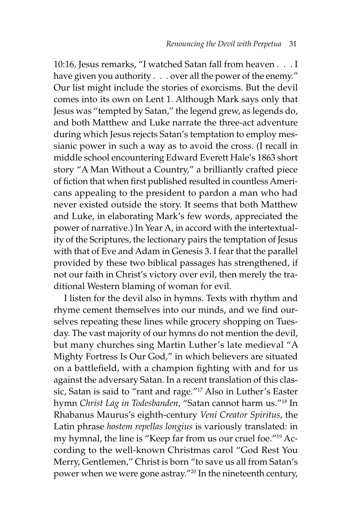10:16, Jesus remarks, "I watched Satan fall from heaven . . . I have given you authority . . . over all the power of the enemy." Our list might include the stories of exorcisms. But the devil comes into its own on Lent 1. Although Mark says only that Jesus was "tempted by Satan," the legend grew, as legends do, and both Matthew and Luke narrate the three-act adventure during which Jesus rejects Satan's temptation to employ messianic power in such a way as to avoid the cross. (I recall in middle school encountering Edward Everett Hale's 1863 short story "A Man Without a Country," a brilliantly crafted piece of fiction that when first published resulted in countless Americans appealing to the president to pardon a man who had never existed outside the story. It seems that both Matthew and Luke, in elaborating Mark's few words, appreciated the power of narrative.) In Year A, in accord with the intertextuality of the Scriptures, the lectionary pairs the temptation of Jesus with that of Eve and Adam in Genesis 3. I fear that the parallel provided by these two biblical passages has strengthened, if not our faith in Christ's victory over evil, then merely the traditional Western blaming of woman for evil.

I listen for the devil also in hymns. Texts with rhythm and rhyme cement themselves into our minds, and we find ourselves repeating these lines while grocery shopping on Tuesday. The vast majority of our hymns do not mention the devil, but many churches sing Martin Luther's late medieval "A Mighty Fortress Is Our God," in which believers are situated on a battlefield, with a champion fighting with and for us against the adversary Satan. In a recent translation of this classic, Satan is said to "rant and rage."17 Also in Luther's Easter hymn *Christ Lag in Todesbanden*, "Satan cannot harm us."18 In Rhabanus Maurus's eighth-century *Veni Creator Spiritus*, the Latin phrase *hostem repellas longius* is variously translated: in my hymnal, the line is "Keep far from us our cruel foe."19 According to the well-known Christmas carol "God Rest You Merry, Gentlemen," Christ is born "to save us all from Satan's power when we were gone astray."20 In the nineteenth century,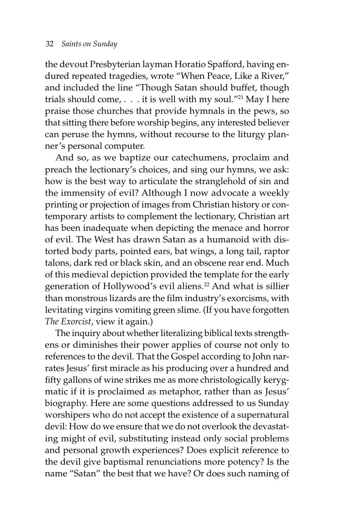the devout Presbyterian layman Horatio Spafford, having endured repeated tragedies, wrote "When Peace, Like a River," and included the line "Though Satan should buffet, though trials should come,  $\ldots$  it is well with my soul."<sup>21</sup> May I here praise those churches that provide hymnals in the pews, so that sitting there before worship begins, any interested believer can peruse the hymns, without recourse to the liturgy planner's personal computer.

And so, as we baptize our catechumens, proclaim and preach the lectionary's choices, and sing our hymns, we ask: how is the best way to articulate the stranglehold of sin and the immensity of evil? Although I now advocate a weekly printing or projection of images from Christian history or contemporary artists to complement the lectionary, Christian art has been inadequate when depicting the menace and horror of evil. The West has drawn Satan as a humanoid with distorted body parts, pointed ears, bat wings, a long tail, raptor talons, dark red or black skin, and an obscene rear end. Much of this medieval depiction provided the template for the early generation of Hollywood's evil aliens.<sup>22</sup> And what is sillier than monstrous lizards are the film industry's exorcisms, with levitating virgins vomiting green slime. (If you have forgotten *The Exorcist*, view it again.)

The inquiry about whether literalizing biblical texts strengthens or diminishes their power applies of course not only to references to the devil. That the Gospel according to John narrates Jesus' first miracle as his producing over a hundred and fifty gallons of wine strikes me as more christologically kerygmatic if it is proclaimed as metaphor, rather than as Jesus' biography. Here are some questions addressed to us Sunday worshipers who do not accept the existence of a supernatural devil: How do we ensure that we do not overlook the devastating might of evil, substituting instead only social problems and personal growth experiences? Does explicit reference to the devil give baptismal renunciations more potency? Is the name "Satan" the best that we have? Or does such naming of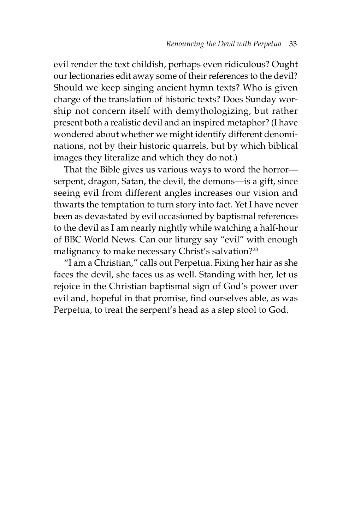evil render the text childish, perhaps even ridiculous? Ought our lectionaries edit away some of their references to the devil? Should we keep singing ancient hymn texts? Who is given charge of the translation of historic texts? Does Sunday worship not concern itself with demythologizing, but rather present both a realistic devil and an inspired metaphor? (I have wondered about whether we might identify different denominations, not by their historic quarrels, but by which biblical images they literalize and which they do not.)

That the Bible gives us various ways to word the horror serpent, dragon, Satan, the devil, the demons—is a gift, since seeing evil from different angles increases our vision and thwarts the temptation to turn story into fact. Yet I have never been as devastated by evil occasioned by baptismal references to the devil as I am nearly nightly while watching a half-hour of BBC World News. Can our liturgy say "evil" with enough malignancy to make necessary Christ's salvation?<sup>23</sup>

"I am a Christian," calls out Perpetua. Fixing her hair as she faces the devil, she faces us as well. Standing with her, let us rejoice in the Christian baptismal sign of God's power over evil and, hopeful in that promise, find ourselves able, as was Perpetua, to treat the serpent's head as a step stool to God.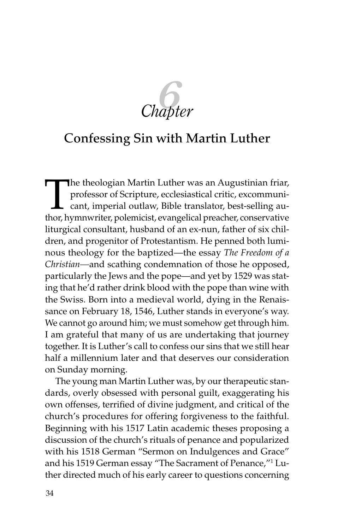

#### Confessing Sin with Martin Luther

The theologian Martin Luther was an Augustinian friar,<br>professor of Scripture, ecclesiastical critic, excommuni-<br>cant, imperial outlaw, Bible translator, best-selling au-<br>thor hymnwriter polemicist examplical preacher cons professor of Scripture, ecclesiastical critic, excommunicant, imperial outlaw, Bible translator, best-selling author, hymnwriter, polemicist, evangelical preacher, conservative liturgical consultant, husband of an ex-nun, father of six children, and progenitor of Protestantism. He penned both luminous theology for the baptized—the essay *The Freedom of a Christian—*and scathing condemnation of those he opposed, particularly the Jews and the pope—and yet by 1529 was stating that he'd rather drink blood with the pope than wine with the Swiss. Born into a medieval world, dying in the Renaissance on February 18, 1546, Luther stands in everyone's way. We cannot go around him; we must somehow get through him. I am grateful that many of us are undertaking that journey together. It is Luther's call to confess our sins that we still hear half a millennium later and that deserves our consideration on Sunday morning.

The young man Martin Luther was, by our therapeutic standards, overly obsessed with personal guilt, exaggerating his own offenses, terrified of divine judgment, and critical of the church's procedures for offering forgiveness to the faithful. Beginning with his 1517 Latin academic theses proposing a discussion of the church's rituals of penance and popularized with his 1518 German "Sermon on Indulgences and Grace" and his 1519 German essay "The Sacrament of Penance,"1 Luther directed much of his early career to questions concerning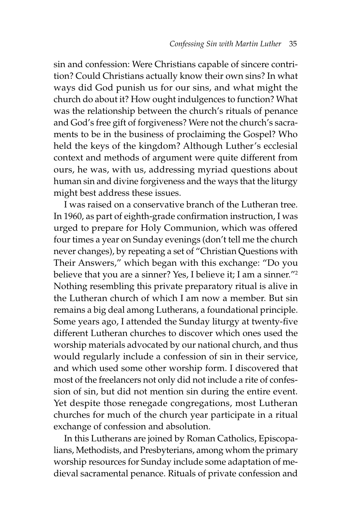sin and confession: Were Christians capable of sincere contrition? Could Christians actually know their own sins? In what ways did God punish us for our sins, and what might the church do about it? How ought indulgences to function? What was the relationship between the church's rituals of penance and God's free gift of forgiveness? Were not the church's sacraments to be in the business of proclaiming the Gospel? Who held the keys of the kingdom? Although Luther's ecclesial context and methods of argument were quite different from ours, he was, with us, addressing myriad questions about human sin and divine forgiveness and the ways that the liturgy might best address these issues.

I was raised on a conservative branch of the Lutheran tree. In 1960, as part of eighth-grade confirmation instruction, I was urged to prepare for Holy Communion, which was offered four times a year on Sunday evenings (don't tell me the church never changes), by repeating a set of "Christian Questions with Their Answers," which began with this exchange: "Do you believe that you are a sinner? Yes, I believe it; I am a sinner."<sup>2</sup> Nothing resembling this private preparatory ritual is alive in the Lutheran church of which I am now a member. But sin remains a big deal among Lutherans, a foundational principle. Some years ago, I attended the Sunday liturgy at twenty-five different Lutheran churches to discover which ones used the worship materials advocated by our national church, and thus would regularly include a confession of sin in their service, and which used some other worship form. I discovered that most of the freelancers not only did not include a rite of confession of sin, but did not mention sin during the entire event. Yet despite those renegade congregations, most Lutheran churches for much of the church year participate in a ritual exchange of confession and absolution.

In this Lutherans are joined by Roman Catholics, Episcopalians, Methodists, and Presbyterians, among whom the primary worship resources for Sunday include some adaptation of medieval sacramental penance. Rituals of private confession and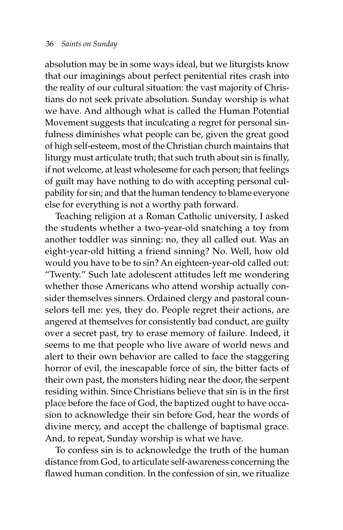absolution may be in some ways ideal, but we liturgists know that our imaginings about perfect penitential rites crash into the reality of our cultural situation: the vast majority of Christians do not seek private absolution. Sunday worship is what we have. And although what is called the Human Potential Movement suggests that inculcating a regret for personal sinfulness diminishes what people can be, given the great good of high self-esteem, most of the Christian church maintains that liturgy must articulate truth; that such truth about sin is finally, if not welcome, at least wholesome for each person; that feelings of guilt may have nothing to do with accepting personal culpability for sin; and that the human tendency to blame everyone else for everything is not a worthy path forward.

Teaching religion at a Roman Catholic university, I asked the students whether a two-year-old snatching a toy from another toddler was sinning: no, they all called out. Was an eight-year-old hitting a friend sinning? No. Well, how old would you have to be to sin? An eighteen-year-old called out: "Twenty." Such late adolescent attitudes left me wondering whether those Americans who attend worship actually consider themselves sinners. Ordained clergy and pastoral counselors tell me: yes, they do. People regret their actions, are angered at themselves for consistently bad conduct, are guilty over a secret past, try to erase memory of failure. Indeed, it seems to me that people who live aware of world news and alert to their own behavior are called to face the staggering horror of evil, the inescapable force of sin, the bitter facts of their own past, the monsters hiding near the door, the serpent residing within. Since Christians believe that sin is in the first place before the face of God, the baptized ought to have occasion to acknowledge their sin before God, hear the words of divine mercy, and accept the challenge of baptismal grace. And, to repeat, Sunday worship is what we have.

To confess sin is to acknowledge the truth of the human distance from God, to articulate self-awareness concerning the flawed human condition. In the confession of sin, we ritualize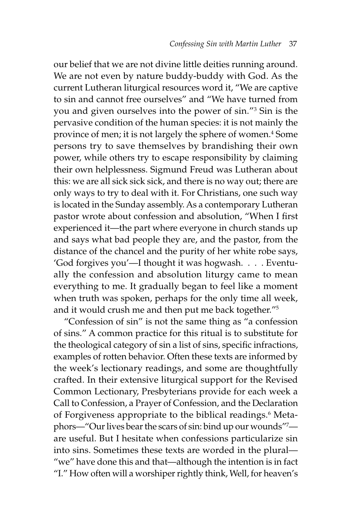our belief that we are not divine little deities running around. We are not even by nature buddy-buddy with God. As the current Lutheran liturgical resources word it, "We are captive to sin and cannot free ourselves" and "We have turned from you and given ourselves into the power of sin."3 Sin is the pervasive condition of the human species: it is not mainly the province of men; it is not largely the sphere of women.<sup>4</sup> Some persons try to save themselves by brandishing their own power, while others try to escape responsibility by claiming their own helplessness. Sigmund Freud was Lutheran about this: we are all sick sick sick, and there is no way out; there are only ways to try to deal with it. For Christians, one such way is located in the Sunday assembly. As a contemporary Lutheran pastor wrote about confession and absolution, "When I first experienced it—the part where everyone in church stands up and says what bad people they are, and the pastor, from the distance of the chancel and the purity of her white robe says, 'God forgives you'—I thought it was hogwash. . . . Eventually the confession and absolution liturgy came to mean everything to me. It gradually began to feel like a moment when truth was spoken, perhaps for the only time all week, and it would crush me and then put me back together."5

"Confession of sin" is not the same thing as "a confession of sins." A common practice for this ritual is to substitute for the theological category of sin a list of sins, specific infractions, examples of rotten behavior. Often these texts are informed by the week's lectionary readings, and some are thoughtfully crafted. In their extensive liturgical support for the Revised Common Lectionary, Presbyterians provide for each week a Call to Confession, a Prayer of Confession, and the Declaration of Forgiveness appropriate to the biblical readings.<sup>6</sup> Metaphors—"Our lives bear the scars of sin: bind up our wounds"7 are useful. But I hesitate when confessions particularize sin into sins. Sometimes these texts are worded in the plural— "we" have done this and that—although the intention is in fact "I." How often will a worshiper rightly think, Well, for heaven's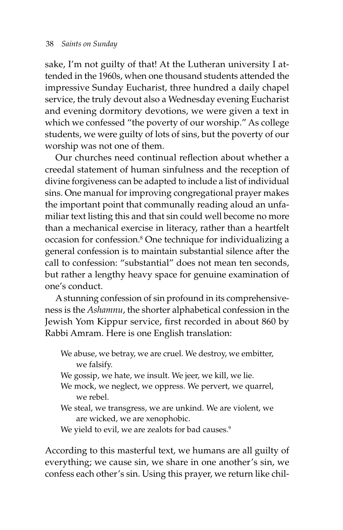sake, I'm not guilty of that! At the Lutheran university I attended in the 1960s, when one thousand students attended the impressive Sunday Eucharist, three hundred a daily chapel service, the truly devout also a Wednesday evening Eucharist and evening dormitory devotions, we were given a text in which we confessed "the poverty of our worship." As college students, we were guilty of lots of sins, but the poverty of our worship was not one of them.

Our churches need continual reflection about whether a creedal statement of human sinfulness and the reception of divine forgiveness can be adapted to include a list of individual sins. One manual for improving congregational prayer makes the important point that communally reading aloud an unfamiliar text listing this and that sin could well become no more than a mechanical exercise in literacy, rather than a heartfelt occasion for confession.8 One technique for individualizing a general confession is to maintain substantial silence after the call to confession: "substantial" does not mean ten seconds, but rather a lengthy heavy space for genuine examination of one's conduct.

A stunning confession of sin profound in its comprehensiveness is the *Ashamnu*, the shorter alphabetical confession in the Jewish Yom Kippur service, first recorded in about 860 by Rabbi Amram. Here is one English translation:

We abuse, we betray, we are cruel. We destroy, we embitter, we falsify.

- We gossip, we hate, we insult. We jeer, we kill, we lie.
- We mock, we neglect, we oppress. We pervert, we quarrel, we rebel.
- We steal, we transgress, we are unkind. We are violent, we are wicked, we are xenophobic.

We yield to evil, we are zealots for bad causes.<sup>9</sup>

According to this masterful text, we humans are all guilty of everything; we cause sin, we share in one another's sin, we confess each other's sin. Using this prayer, we return like chil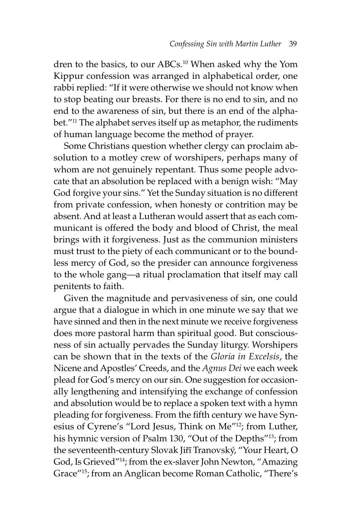dren to the basics, to our ABCs.<sup>10</sup> When asked why the Yom Kippur confession was arranged in alphabetical order, one rabbi replied: "If it were otherwise we should not know when to stop beating our breasts. For there is no end to sin, and no end to the awareness of sin, but there is an end of the alphabet."11 The alphabet serves itself up as metaphor, the rudiments of human language become the method of prayer.

Some Christians question whether clergy can proclaim absolution to a motley crew of worshipers, perhaps many of whom are not genuinely repentant. Thus some people advocate that an absolution be replaced with a benign wish: "May God forgive your sins." Yet the Sunday situation is no different from private confession, when honesty or contrition may be absent. And at least a Lutheran would assert that as each communicant is offered the body and blood of Christ, the meal brings with it forgiveness. Just as the communion ministers must trust to the piety of each communicant or to the boundless mercy of God, so the presider can announce forgiveness to the whole gang—a ritual proclamation that itself may call penitents to faith.

Given the magnitude and pervasiveness of sin, one could argue that a dialogue in which in one minute we say that we have sinned and then in the next minute we receive forgiveness does more pastoral harm than spiritual good. But consciousness of sin actually pervades the Sunday liturgy. Worshipers can be shown that in the texts of the *Gloria in Excelsis*, the Nicene and Apostles' Creeds, and the *Agnus Dei* we each week plead for God's mercy on our sin. One suggestion for occasionally lengthening and intensifying the exchange of confession and absolution would be to replace a spoken text with a hymn pleading for forgiveness. From the fifth century we have Synesius of Cyrene's "Lord Jesus, Think on Me"12; from Luther, his hymnic version of Psalm 130, "Out of the Depths"<sup>13</sup>; from the seventeenth-century Slovak Jiřī Tranovský, "Your Heart, O God, Is Grieved"14; from the ex-slaver John Newton, "Amazing Grace"15; from an Anglican become Roman Catholic, "There's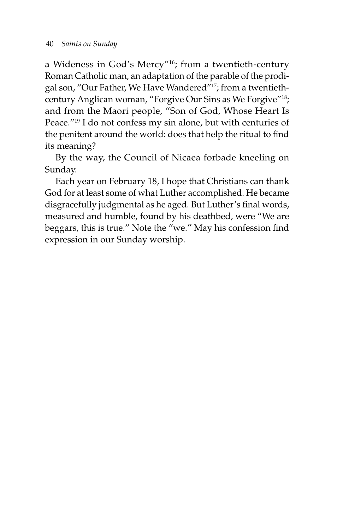a Wideness in God's Mercy"16; from a twentieth-century Roman Catholic man, an adaptation of the parable of the prodigal son, "Our Father, We Have Wandered"17; from a twentiethcentury Anglican woman, "Forgive Our Sins as We Forgive"18; and from the Maori people, "Son of God, Whose Heart Is Peace."19 I do not confess my sin alone, but with centuries of the penitent around the world: does that help the ritual to find its meaning?

By the way, the Council of Nicaea forbade kneeling on Sunday.

Each year on February 18, I hope that Christians can thank God for at least some of what Luther accomplished. He became disgracefully judgmental as he aged. But Luther's final words, measured and humble, found by his deathbed, were "We are beggars, this is true." Note the "we." May his confession find expression in our Sunday worship.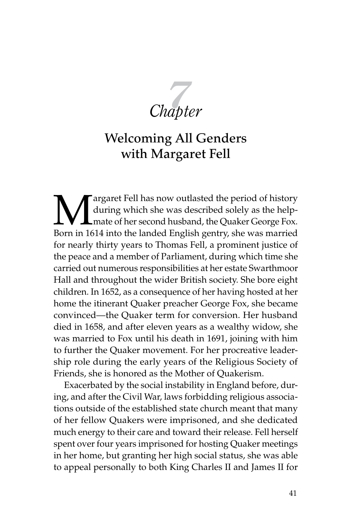$Chapter$ 

## Welcoming All Genders with Margaret Fell

Margaret Fell has now outlasted the period of history<br>during which she was described solely as the help-<br>mate of her second husband, the Quaker George Fox.<br>Born in 1614 into the landed English gentry, she was married during which she was described solely as the helpmate of her second husband, the Quaker George Fox. Born in 1614 into the landed English gentry, she was married for nearly thirty years to Thomas Fell, a prominent justice of the peace and a member of Parliament, during which time she carried out numerous responsibilities at her estate Swarthmoor Hall and throughout the wider British society. She bore eight children. In 1652, as a consequence of her having hosted at her home the itinerant Quaker preacher George Fox, she became convinced—the Quaker term for conversion. Her husband died in 1658, and after eleven years as a wealthy widow, she was married to Fox until his death in 1691, joining with him to further the Quaker movement. For her procreative leadership role during the early years of the Religious Society of Friends, she is honored as the Mother of Quakerism.

Exacerbated by the social instability in England before, during, and after the Civil War, laws forbidding religious associations outside of the established state church meant that many of her fellow Quakers were imprisoned, and she dedicated much energy to their care and toward their release. Fell herself spent over four years imprisoned for hosting Quaker meetings in her home, but granting her high social status, she was able to appeal personally to both King Charles II and James II for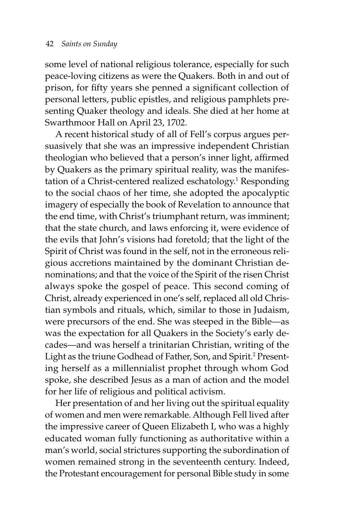some level of national religious tolerance, especially for such peace-loving citizens as were the Quakers. Both in and out of prison, for fifty years she penned a significant collection of personal letters, public epistles, and religious pamphlets presenting Quaker theology and ideals. She died at her home at Swarthmoor Hall on April 23, 1702.

A recent historical study of all of Fell's corpus argues persuasively that she was an impressive independent Christian theologian who believed that a person's inner light, affirmed by Quakers as the primary spiritual reality, was the manifestation of a Christ-centered realized eschatology.<sup>1</sup> Responding to the social chaos of her time, she adopted the apocalyptic imagery of especially the book of Revelation to announce that the end time, with Christ's triumphant return, was imminent; that the state church, and laws enforcing it, were evidence of the evils that John's visions had foretold; that the light of the Spirit of Christ was found in the self, not in the erroneous religious accretions maintained by the dominant Christian denominations; and that the voice of the Spirit of the risen Christ always spoke the gospel of peace. This second coming of Christ, already experienced in one's self, replaced all old Christian symbols and rituals, which, similar to those in Judaism, were precursors of the end. She was steeped in the Bible—as was the expectation for all Quakers in the Society's early decades—and was herself a trinitarian Christian, writing of the Light as the triune Godhead of Father, Son, and Spirit.<sup>2</sup> Presenting herself as a millennialist prophet through whom God spoke, she described Jesus as a man of action and the model for her life of religious and political activism.

Her presentation of and her living out the spiritual equality of women and men were remarkable. Although Fell lived after the impressive career of Queen Elizabeth I, who was a highly educated woman fully functioning as authoritative within a man's world, social strictures supporting the subordination of women remained strong in the seventeenth century. Indeed, the Protestant encouragement for personal Bible study in some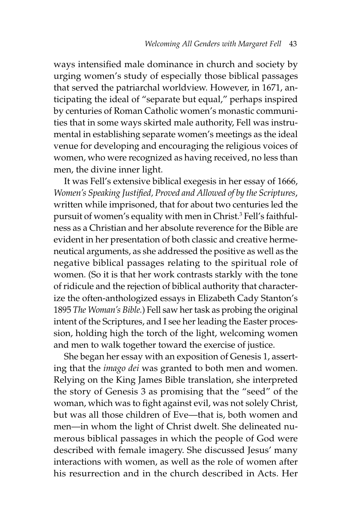ways intensified male dominance in church and society by urging women's study of especially those biblical passages that served the patriarchal worldview. However, in 1671, anticipating the ideal of "separate but equal," perhaps inspired by centuries of Roman Catholic women's monastic communities that in some ways skirted male authority, Fell was instrumental in establishing separate women's meetings as the ideal venue for developing and encouraging the religious voices of women, who were recognized as having received, no less than men, the divine inner light.

It was Fell's extensive biblical exegesis in her essay of 1666, *Women's Speaking Justified, Proved and Allowed of by the Scriptures*, written while imprisoned, that for about two centuries led the pursuit of women's equality with men in Christ.3 Fell's faithfulness as a Christian and her absolute reverence for the Bible are evident in her presentation of both classic and creative hermeneutical arguments, as she addressed the positive as well as the negative biblical passages relating to the spiritual role of women. (So it is that her work contrasts starkly with the tone of ridicule and the rejection of biblical authority that characterize the often-anthologized essays in Elizabeth Cady Stanton's 1895 *The Woman's Bible.*) Fell saw her task as probing the original intent of the Scriptures, and I see her leading the Easter procession, holding high the torch of the light, welcoming women and men to walk together toward the exercise of justice.

She began her essay with an exposition of Genesis 1, asserting that the *imago dei* was granted to both men and women. Relying on the King James Bible translation, she interpreted the story of Genesis 3 as promising that the "seed" of the woman, which was to fight against evil, was not solely Christ, but was all those children of Eve—that is, both women and men—in whom the light of Christ dwelt. She delineated numerous biblical passages in which the people of God were described with female imagery. She discussed Jesus' many interactions with women, as well as the role of women after his resurrection and in the church described in Acts. Her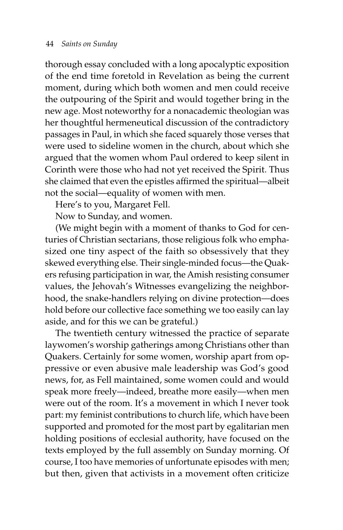thorough essay concluded with a long apocalyptic exposition of the end time foretold in Revelation as being the current moment, during which both women and men could receive the outpouring of the Spirit and would together bring in the new age. Most noteworthy for a nonacademic theologian was her thoughtful hermeneutical discussion of the contradictory passages in Paul, in which she faced squarely those verses that were used to sideline women in the church, about which she argued that the women whom Paul ordered to keep silent in Corinth were those who had not yet received the Spirit. Thus she claimed that even the epistles affirmed the spiritual—albeit not the social—equality of women with men.

Here's to you, Margaret Fell.

Now to Sunday, and women.

(We might begin with a moment of thanks to God for centuries of Christian sectarians, those religious folk who emphasized one tiny aspect of the faith so obsessively that they skewed everything else. Their single-minded focus—the Quakers refusing participation in war, the Amish resisting consumer values, the Jehovah's Witnesses evangelizing the neighborhood, the snake-handlers relying on divine protection—does hold before our collective face something we too easily can lay aside, and for this we can be grateful.)

The twentieth century witnessed the practice of separate laywomen's worship gatherings among Christians other than Quakers. Certainly for some women, worship apart from oppressive or even abusive male leadership was God's good news, for, as Fell maintained, some women could and would speak more freely—indeed, breathe more easily—when men were out of the room. It's a movement in which I never took part: my feminist contributions to church life, which have been supported and promoted for the most part by egalitarian men holding positions of ecclesial authority, have focused on the texts employed by the full assembly on Sunday morning. Of course, I too have memories of unfortunate episodes with men; but then, given that activists in a movement often criticize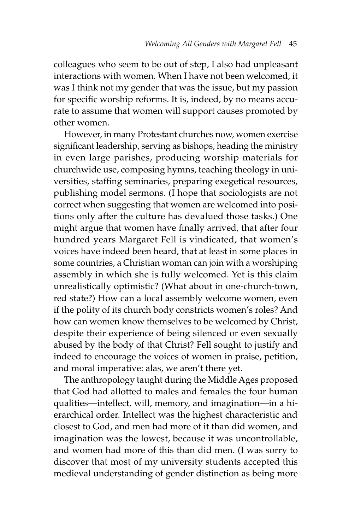colleagues who seem to be out of step, I also had unpleasant interactions with women. When I have not been welcomed, it was I think not my gender that was the issue, but my passion for specific worship reforms. It is, indeed, by no means accurate to assume that women will support causes promoted by other women.

However, in many Protestant churches now, women exercise significant leadership, serving as bishops, heading the ministry in even large parishes, producing worship materials for churchwide use, composing hymns, teaching theology in universities, staffing seminaries, preparing exegetical resources, publishing model sermons. (I hope that sociologists are not correct when suggesting that women are welcomed into positions only after the culture has devalued those tasks.) One might argue that women have finally arrived, that after four hundred years Margaret Fell is vindicated, that women's voices have indeed been heard, that at least in some places in some countries, a Christian woman can join with a worshiping assembly in which she is fully welcomed. Yet is this claim unrealistically optimistic? (What about in one-church-town, red state?) How can a local assembly welcome women, even if the polity of its church body constricts women's roles? And how can women know themselves to be welcomed by Christ, despite their experience of being silenced or even sexually abused by the body of that Christ? Fell sought to justify and indeed to encourage the voices of women in praise, petition, and moral imperative: alas, we aren't there yet.

The anthropology taught during the Middle Ages proposed that God had allotted to males and females the four human qualities—intellect, will, memory, and imagination—in a hierarchical order. Intellect was the highest characteristic and closest to God, and men had more of it than did women, and imagination was the lowest, because it was uncontrollable, and women had more of this than did men. (I was sorry to discover that most of my university students accepted this medieval understanding of gender distinction as being more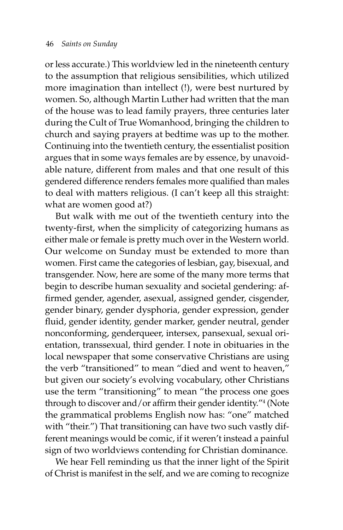or less accurate.) This worldview led in the nineteenth century to the assumption that religious sensibilities, which utilized more imagination than intellect (!), were best nurtured by women. So, although Martin Luther had written that the man of the house was to lead family prayers, three centuries later during the Cult of True Womanhood, bringing the children to church and saying prayers at bedtime was up to the mother. Continuing into the twentieth century, the essentialist position argues that in some ways females are by essence, by unavoidable nature, different from males and that one result of this gendered difference renders females more qualified than males to deal with matters religious. (I can't keep all this straight: what are women good at?)

But walk with me out of the twentieth century into the twenty-first, when the simplicity of categorizing humans as either male or female is pretty much over in the Western world. Our welcome on Sunday must be extended to more than women. First came the categories of lesbian, gay, bisexual, and transgender. Now, here are some of the many more terms that begin to describe human sexuality and societal gendering: affirmed gender, agender, asexual, assigned gender, cisgender, gender binary, gender dysphoria, gender expression, gender fluid, gender identity, gender marker, gender neutral, gender nonconforming, genderqueer, intersex, pansexual, sexual orientation, transsexual, third gender. I note in obituaries in the local newspaper that some conservative Christians are using the verb "transitioned" to mean "died and went to heaven," but given our society's evolving vocabulary, other Christians use the term "transitioning" to mean "the process one goes through to discover and/or affirm their gender identity."4 (Note the grammatical problems English now has: "one" matched with "their.") That transitioning can have two such vastly different meanings would be comic, if it weren't instead a painful sign of two worldviews contending for Christian dominance.

We hear Fell reminding us that the inner light of the Spirit of Christ is manifest in the self, and we are coming to recognize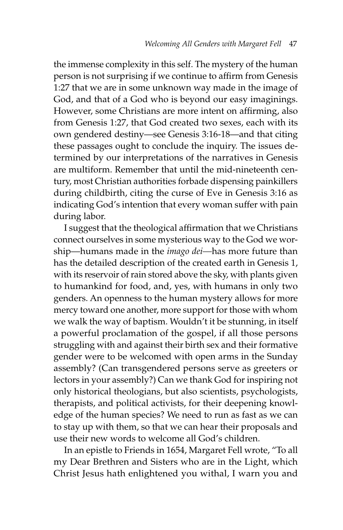the immense complexity in this self. The mystery of the human person is not surprising if we continue to affirm from Genesis 1:27 that we are in some unknown way made in the image of God, and that of a God who is beyond our easy imaginings. However, some Christians are more intent on affirming, also from Genesis 1:27, that God created two sexes, each with its own gendered destiny—see Genesis 3:16-18—and that citing these passages ought to conclude the inquiry. The issues determined by our interpretations of the narratives in Genesis are multiform. Remember that until the mid-nineteenth century, most Christian authorities forbade dispensing painkillers during childbirth, citing the curse of Eve in Genesis 3:16 as indicating God's intention that every woman suffer with pain during labor.

I suggest that the theological affirmation that we Christians connect ourselves in some mysterious way to the God we worship—humans made in the *imago dei—*has more future than has the detailed description of the created earth in Genesis 1, with its reservoir of rain stored above the sky, with plants given to humankind for food, and, yes, with humans in only two genders. An openness to the human mystery allows for more mercy toward one another, more support for those with whom we walk the way of baptism. Wouldn't it be stunning, in itself a powerful proclamation of the gospel, if all those persons struggling with and against their birth sex and their formative gender were to be welcomed with open arms in the Sunday assembly? (Can transgendered persons serve as greeters or lectors in your assembly?) Can we thank God for inspiring not only historical theologians, but also scientists, psychologists, therapists, and political activists, for their deepening knowledge of the human species? We need to run as fast as we can to stay up with them, so that we can hear their proposals and use their new words to welcome all God's children.

In an epistle to Friends in 1654, Margaret Fell wrote, "To all my Dear Brethren and Sisters who are in the Light, which Christ Jesus hath enlightened you withal, I warn you and